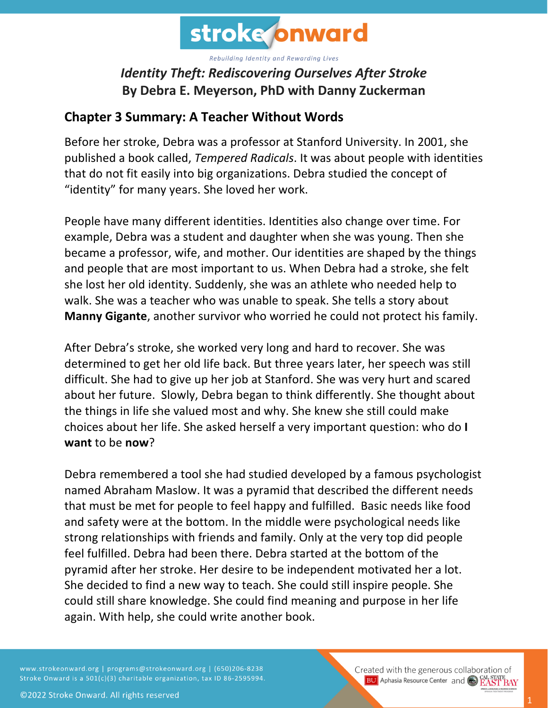

## *Identity Theft: Rediscovering Ourselves After Stroke* **By Debra E. Meyerson, PhD with Danny Zuckerman**

## **Chapter 3 Summary: A Teacher Without Words**

Before her stroke, Debra was a professor at Stanford University. In 2001, she published a book called, *Tempered Radicals*. It was about people with identities that do not fit easily into big organizations. Debra studied the concept of "identity" for many years. She loved her work.

People have many different identities. Identities also change over time. For example, Debra was a student and daughter when she was young. Then she became a professor, wife, and mother. Our identities are shaped by the things and people that are most important to us. When Debra had a stroke, she felt she lost her old identity. Suddenly, she was an athlete who needed help to walk. She was a teacher who was unable to speak. She tells a story about **Manny Gigante**, another survivor who worried he could not protect his family.

After Debra's stroke, she worked very long and hard to recover. She was determined to get her old life back. But three years later, her speech was still difficult. She had to give up her job at Stanford. She was very hurt and scared about her future. Slowly, Debra began to think differently. She thought about the things in life she valued most and why. She knew she still could make choices about her life. She asked herself a very important question: who do **I want** to be **now**?

Debra remembered a tool she had studied developed by a famous psychologist named Abraham Maslow. It was a pyramid that described the different needs that must be met for people to feel happy and fulfilled. Basic needs like food and safety were at the bottom. In the middle were psychological needs like strong relationships with friends and family. Only at the very top did people feel fulfilled. Debra had been there. Debra started at the bottom of the pyramid after her stroke. Her desire to be independent motivated her a lot. She decided to find a new way to teach. She could still inspire people. She could still share knowledge. She could find meaning and purpose in her life again. With help, she could write another book.

www.strokeonward.org | programs@strokeonward.org | (650)206-8238 Stroke Onward is a 501(c)(3) charitable organization, tax ID 86-2595994. Created with the generous collaboration of **BU** Aphasia Resource Center and **COL STATE BAY**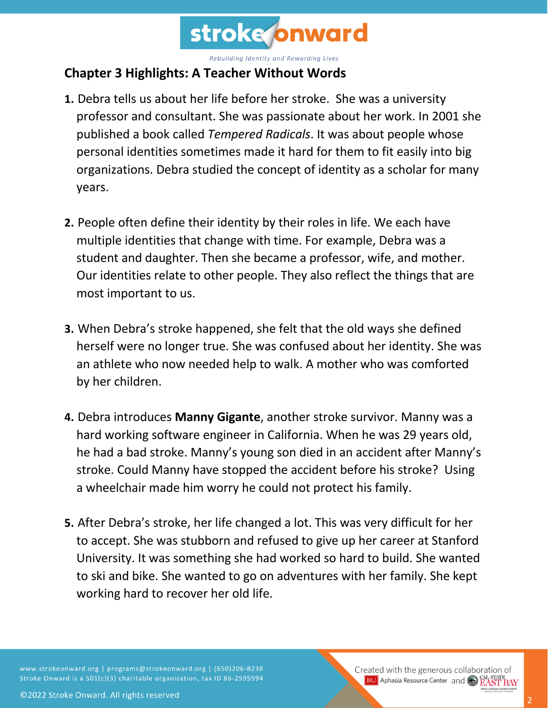

## **Chapter 3 Highlights: A Teacher Without Words**

- **1.** Debra tells us about her life before her stroke. She was a university professor and consultant. She was passionate about her work. In 2001 she published a book called *Tempered Radicals*. It was about people whose personal identities sometimes made it hard for them to fit easily into big organizations. Debra studied the concept of identity as a scholar for many years.
- **2.** People often define their identity by their roles in life. We each have multiple identities that change with time. For example, Debra was a student and daughter. Then she became a professor, wife, and mother. Our identities relate to other people. They also reflect the things that are most important to us.
- **3.** When Debra's stroke happened, she felt that the old ways she defined herself were no longer true. She was confused about her identity. She was an athlete who now needed help to walk. A mother who was comforted by her children.
- **4.** Debra introduces **Manny Gigante**, another stroke survivor. Manny was a hard working software engineer in California. When he was 29 years old, he had a bad stroke. Manny's young son died in an accident after Manny's stroke. Could Manny have stopped the accident before his stroke? Using a wheelchair made him worry he could not protect his family.
- **5.** After Debra's stroke, her life changed a lot. This was very difficult for her to accept. She was stubborn and refused to give up her career at Stanford University. It was something she had worked so hard to build. She wanted to ski and bike. She wanted to go on adventures with her family. She kept working hard to recover her old life.

www.strokeonward.org | programs@strokeonward.org | (650)206-8238 Stroke Onward is a 501(c)(3) charitable organization, tax ID 86-2595994.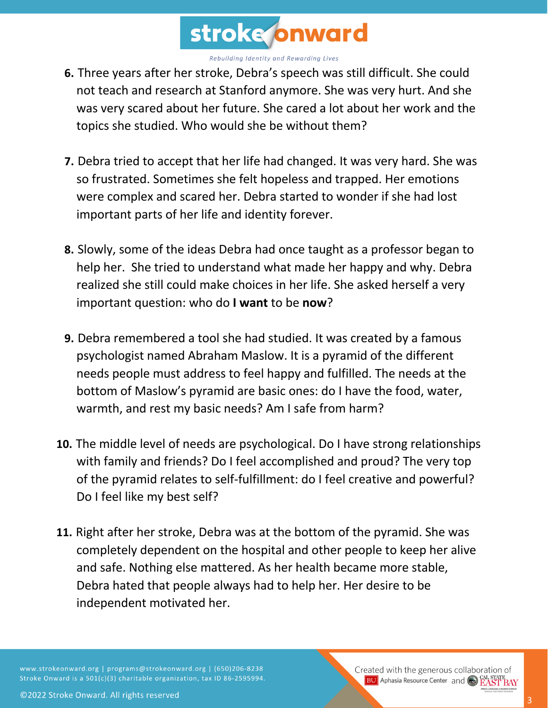

- **6.** Three years after her stroke, Debra's speech was still difficult. She could not teach and research at Stanford anymore. She was very hurt. And she was very scared about her future. She cared a lot about her work and the topics she studied. Who would she be without them?
- **7.** Debra tried to accept that her life had changed. It was very hard. She was so frustrated. Sometimes she felt hopeless and trapped. Her emotions were complex and scared her. Debra started to wonder if she had lost important parts of her life and identity forever.
- **8.** Slowly, some of the ideas Debra had once taught as a professor began to help her. She tried to understand what made her happy and why. Debra realized she still could make choices in her life. She asked herself a very important question: who do **I want** to be **now**?
- **9.** Debra remembered a tool she had studied. It was created by a famous psychologist named Abraham Maslow. It is a pyramid of the different needs people must address to feel happy and fulfilled. The needs at the bottom of Maslow's pyramid are basic ones: do I have the food, water, warmth, and rest my basic needs? Am I safe from harm?
- **10.** The middle level of needs are psychological. Do I have strong relationships with family and friends? Do I feel accomplished and proud? The very top of the pyramid relates to self-fulfillment: do I feel creative and powerful? Do I feel like my best self?
- **11.** Right after her stroke, Debra was at the bottom of the pyramid. She was completely dependent on the hospital and other people to keep her alive and safe. Nothing else mattered. As her health became more stable, Debra hated that people always had to help her. Her desire to be independent motivated her.

www.strokeonward.org | programs@strokeonward.org | (650)206-8238 Stroke Onward is a 501(c)(3) charitable organization, tax ID 86-2595994.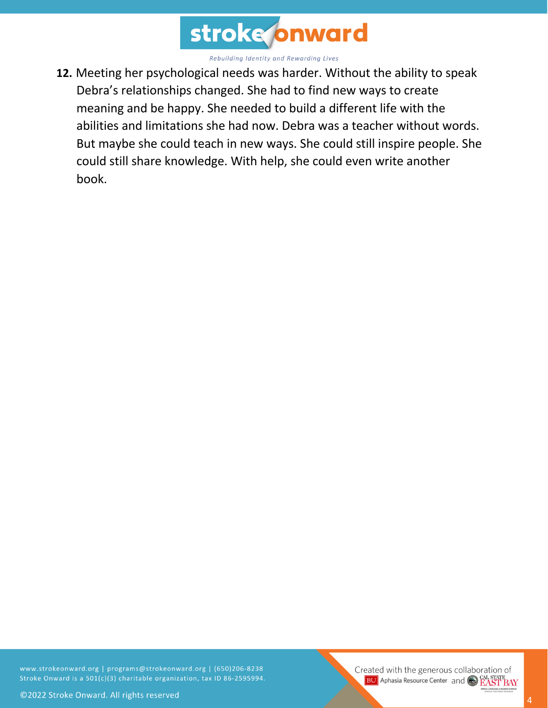

**12.** Meeting her psychological needs was harder. Without the ability to speak Debra's relationships changed. She had to find new ways to create meaning and be happy. She needed to build a different life with the abilities and limitations she had now. Debra was a teacher without words. But maybe she could teach in new ways. She could still inspire people. She could still share knowledge. With help, she could even write another book.

www.strokeonward.org | programs@strokeonward.org | (650)206-8238 Stroke Onward is a 501(c)(3) charitable organization, tax ID 86-2595994.

Created with the generous collaboration of **BU** Aphasia Resource Center and **COL STATE**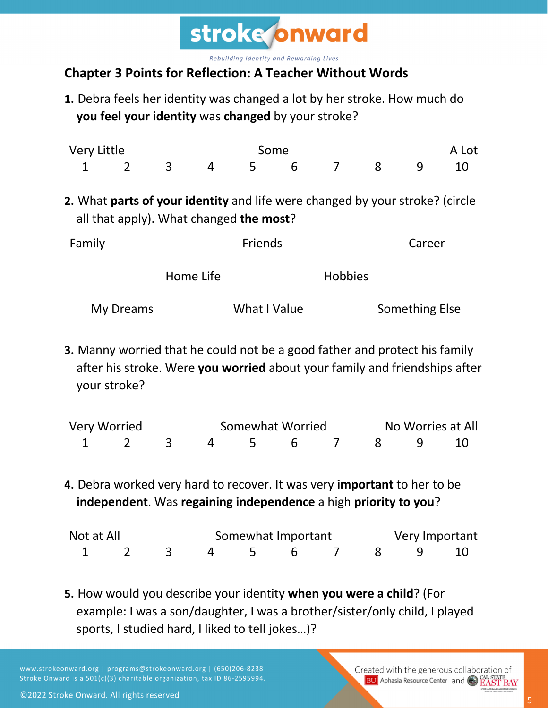

## **Chapter 3 Points for Reflection: A Teacher Without Words**

**1.** Debra feels her identity was changed a lot by her stroke. How much do **you feel your identity** was **changed** by your stroke?

| Very Little |                |                                                                                                                         | Some           |              |   |                |        |                       | A Lot |  |  |
|-------------|----------------|-------------------------------------------------------------------------------------------------------------------------|----------------|--------------|---|----------------|--------|-----------------------|-------|--|--|
| 1           | $\overline{2}$ | $\overline{3}$                                                                                                          | $\overline{4}$ | 5            | 6 | $\overline{7}$ | 8      | 9                     | 10    |  |  |
|             |                | 2. What parts of your identity and life were changed by your stroke? (circle<br>all that apply). What changed the most? |                |              |   |                |        |                       |       |  |  |
| Family      |                |                                                                                                                         | <b>Friends</b> |              |   |                | Career |                       |       |  |  |
|             |                |                                                                                                                         | Home Life      |              |   |                |        |                       |       |  |  |
|             | My Dreams      |                                                                                                                         |                | What I Value |   |                |        | <b>Something Else</b> |       |  |  |

**3.** Manny worried that he could not be a good father and protect his family after his stroke. Were **you worried** about your family and friendships after your stroke?

| Very Worried |  |  | Somewhat Worried | No Worries at All    |  |  |  |  |
|--------------|--|--|------------------|----------------------|--|--|--|--|
|              |  |  |                  | 1 2 3 4 5 6 7 8 9 10 |  |  |  |  |

**4.** Debra worked very hard to recover. It was very **important** to her to be **independent**. Was **regaining independence** a high **priority to you**?

| Not at All |  | Somewhat Important   |  |  |  |  |  | Very Important |  |  |
|------------|--|----------------------|--|--|--|--|--|----------------|--|--|
|            |  | 1 2 3 4 5 6 7 8 9 10 |  |  |  |  |  |                |  |  |

**5.** How would you describe your identity **when you were a child**? (For example: I was a son/daughter, I was a brother/sister/only child, I played sports, I studied hard, I liked to tell jokes…)?

www.strokeonward.org | programs@strokeonward.org | (650)206-8238 Stroke Onward is a 501(c)(3) charitable organization, tax ID 86-2595994. Created with the generous collaboration of **BU** Aphasia Resource Center and CAL STATE BAY